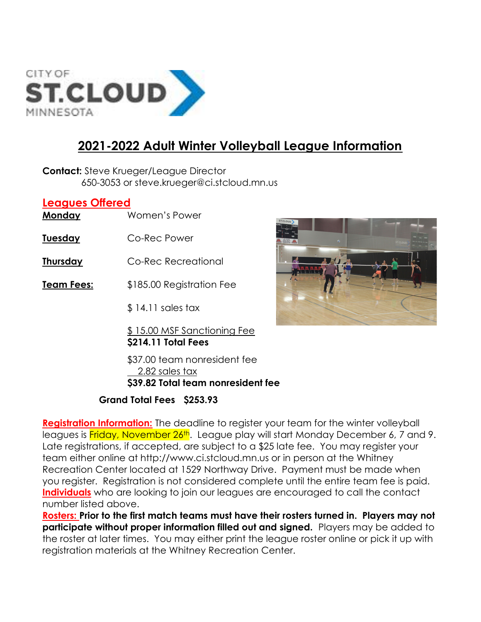

## 2021-2022 Adult Winter Volleyball League Information

**Contact:** Steve Krueger/League Director 650-3053 or steve.krueger@ci.stcloud.mn.us

## Leagues Offered

Monday Women's Power

- Tuesday Co-Rec Power
- Thursday Co-Rec Recreational
- **Team Fees:** \$185.00 Registration Fee
	- \$ 14.11 sales tax

\$ 15.00 MSF Sanctioning Fee \$214.11 Total Fees

 \$37.00 team nonresident fee 2.82 sales tax \$39.82 Total team nonresident fee

## Grand Total Fees \$253.93

Registration Information: The deadline to register your team for the winter volleyball leagues is Friday, November 26th. League play will start Monday December 6, 7 and 9. Late registrations, if accepted, are subject to a \$25 late fee. You may register your team either online at http://www.ci.stcloud.mn.us or in person at the Whitney Recreation Center located at 1529 Northway Drive. Payment must be made when you register. Registration is not considered complete until the entire team fee is paid. Individuals who are looking to join our leagues are encouraged to call the contact number listed above.

Rosters: Prior to the first match teams must have their rosters turned in. Players may not participate without proper information filled out and signed. Players may be added to the roster at later times. You may either print the league roster online or pick it up with registration materials at the Whitney Recreation Center.